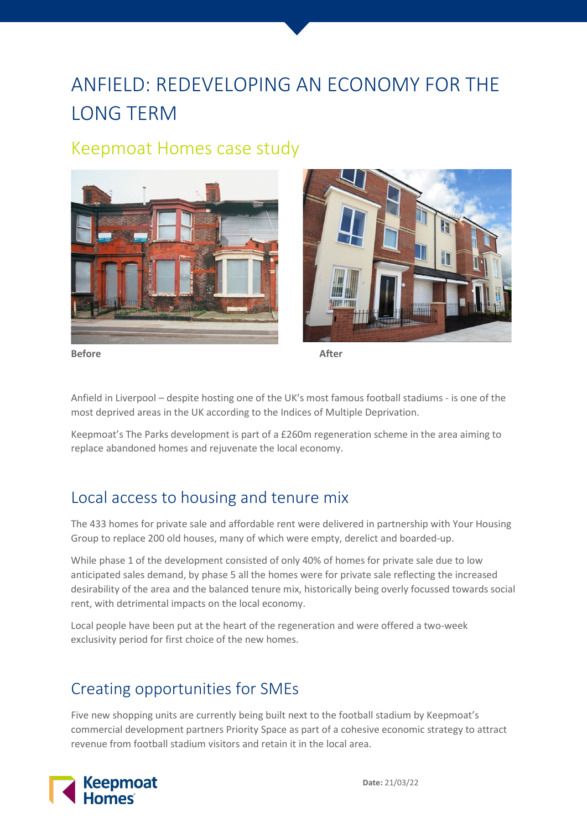# ANFIELD: REDEVELOPING AN ECONOMY FOR THE LONG TERM

#### Keepmoat Homes case study





**Before After**

Anfield in Liverpool – despite hosting one of the UK's most famous football stadiums - is one of the most deprived areas in the UK according to the Indices of Multiple Deprivation.

Keepmoat's The Parks development is part of a £260m regeneration scheme in the area aiming to replace abandoned homes and rejuvenate the local economy.

### Local access to housing and tenure mix

The 433 homes for private sale and affordable rent were delivered in partnership with Your Housing Group to replace 200 old houses, many of which were empty, derelict and boarded-up.

While phase 1 of the development consisted of only 40% of homes for private sale due to low anticipated sales demand, by phase 5 all the homes were for private sale reflecting the increased desirability of the area and the balanced tenure mix, historically being overly focussed towards social rent, with detrimental impacts on the local economy.

Local people have been put at the heart of the regeneration and were offered a two-week exclusivity period for first choice of the new homes.

### Creating opportunities for SMEs

Five new shopping units are currently being built next to the football stadium by Keepmoat's commercial development partners Priority Space as part of a cohesive economic strategy to attract revenue from football stadium visitors and retain it in the local area.